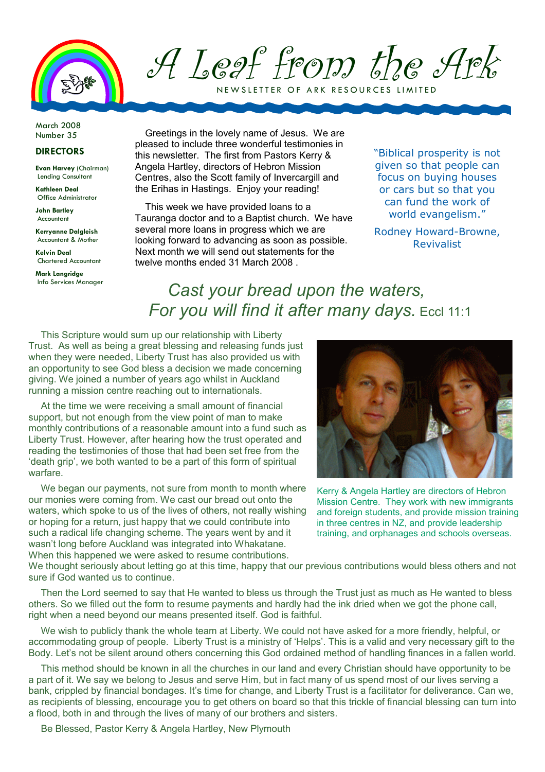

A Leaf from the Ark NEW SLETTER OF ARK RESOURCES LIMITED

March 2008

## DIRECTORS

Evan Harvey (Chairman) Lending Consultant

Kathleen Deal Office Administrator

John Bartley Accountant

Kerryanne Dalgleish Accountant & Mother

Kelvin Deal Chartered Accountant

Mark Langridge Info Services Manager

Number 35 Greetings in the lovely name of Jesus. We are pleased to include three wonderful testimonies in this newsletter. The first from Pastors Kerry & Angela Hartley, directors of Hebron Mission Centres, also the Scott family of Invercargill and the Erihas in Hastings. Enjoy your reading!

> This week we have provided loans to a Tauranga doctor and to a Baptist church. We have several more loans in progress which we are looking forward to advancing as soon as possible. Next month we will send out statements for the twelve months ended 31 March 2008 .

"Biblical prosperity is not given so that people can focus on buying houses or cars but so that you can fund the work of world evangelism."

Rodney Howard-Browne, Revivalist

## Cast your bread upon the waters, For you will find it after many days. Eccl 11:1

This Scripture would sum up our relationship with Liberty Trust. As well as being a great blessing and releasing funds just when they were needed, Liberty Trust has also provided us with an opportunity to see God bless a decision we made concerning giving. We joined a number of years ago whilst in Auckland running a mission centre reaching out to internationals.

At the time we were receiving a small amount of financial support, but not enough from the view point of man to make monthly contributions of a reasonable amount into a fund such as Liberty Trust. However, after hearing how the trust operated and reading the testimonies of those that had been set free from the 'death grip', we both wanted to be a part of this form of spiritual warfare.

We began our payments, not sure from month to month where our monies were coming from. We cast our bread out onto the waters, which spoke to us of the lives of others, not really wishing or hoping for a return, just happy that we could contribute into such a radical life changing scheme. The years went by and it wasn't long before Auckland was integrated into Whakatane. When this happened we were asked to resume contributions.



Kerry & Angela Hartley are directors of Hebron Mission Centre. They work with new immigrants and foreign students, and provide mission training in three centres in NZ, and provide leadership training, and orphanages and schools overseas.

We thought seriously about letting go at this time, happy that our previous contributions would bless others and not sure if God wanted us to continue.

Then the Lord seemed to say that He wanted to bless us through the Trust just as much as He wanted to bless others. So we filled out the form to resume payments and hardly had the ink dried when we got the phone call, right when a need beyond our means presented itself. God is faithful.

We wish to publicly thank the whole team at Liberty. We could not have asked for a more friendly, helpful, or accommodating group of people. Liberty Trust is a ministry of 'Helps'. This is a valid and very necessary gift to the Body. Let's not be silent around others concerning this God ordained method of handling finances in a fallen world.

This method should be known in all the churches in our land and every Christian should have opportunity to be a part of it. We say we belong to Jesus and serve Him, but in fact many of us spend most of our lives serving a bank, crippled by financial bondages. It's time for change, and Liberty Trust is a facilitator for deliverance. Can we, as recipients of blessing, encourage you to get others on board so that this trickle of financial blessing can turn into a flood, both in and through the lives of many of our brothers and sisters.

Be Blessed, Pastor Kerry & Angela Hartley, New Plymouth